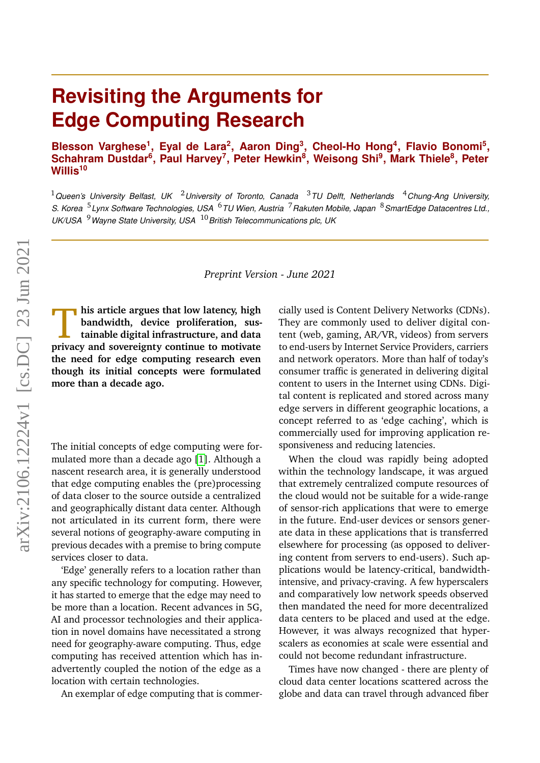# **Revisiting the Arguments for Edge Computing Research**

Blesson Varghese<sup>1</sup>, Eyal de Lara<sup>2</sup>, Aaron Ding<sup>3</sup>, Cheol-Ho Hong<sup>4</sup>, Flavio Bonomi<sup>5</sup>, **Schahram Dustdar<sup>6</sup> , Paul Harvey<sup>7</sup> , Peter Hewkin<sup>8</sup> , Weisong Shi<sup>9</sup> , Mark Thiele<sup>8</sup> , Peter Willis<sup>10</sup>**

<sup>1</sup>*Queen's University Belfast, UK* <sup>2</sup>*University of Toronto, Canada* <sup>3</sup>*TU Delft, Netherlands* <sup>4</sup>*Chung-Ang University, S. Korea* <sup>5</sup> *Lynx Software Technologies, USA* <sup>6</sup>*TU Wien, Austria* <sup>7</sup>*Rakuten Mobile, Japan* <sup>8</sup>*SmartEdge Datacentres Ltd., UK/USA* <sup>9</sup>*Wayne State University, USA* <sup>10</sup>*British Telecommunications plc, UK*

#### *Preprint Version - June 2021*

his article argues that low latency, high bandwidth, device proliferation, sustainable digital infrastructure, and data privacy and sovereignty continue to motivate **his article argues that low latency, high bandwidth, device proliferation, sustainable digital infrastructure, and data the need for edge computing research even though its initial concepts were formulated more than a decade ago.**

The initial concepts of edge computing were formulated more than a decade ago [\[1\]](#page-6-0). Although a nascent research area, it is generally understood that edge computing enables the (pre)processing of data closer to the source outside a centralized and geographically distant data center. Although not articulated in its current form, there were several notions of geography-aware computing in previous decades with a premise to bring compute services closer to data.

'Edge' generally refers to a location rather than any specific technology for computing. However, it has started to emerge that the edge may need to be more than a location. Recent advances in 5G, AI and processor technologies and their application in novel domains have necessitated a strong need for geography-aware computing. Thus, edge computing has received attention which has inadvertently coupled the notion of the edge as a location with certain technologies.

An exemplar of edge computing that is commer-

cially used is Content Delivery Networks (CDNs). They are commonly used to deliver digital content (web, gaming, AR/VR, videos) from servers to end-users by Internet Service Providers, carriers and network operators. More than half of today's consumer traffic is generated in delivering digital content to users in the Internet using CDNs. Digital content is replicated and stored across many edge servers in different geographic locations, a concept referred to as 'edge caching', which is commercially used for improving application responsiveness and reducing latencies.

When the cloud was rapidly being adopted within the technology landscape, it was argued that extremely centralized compute resources of the cloud would not be suitable for a wide-range of sensor-rich applications that were to emerge in the future. End-user devices or sensors generate data in these applications that is transferred elsewhere for processing (as opposed to delivering content from servers to end-users). Such applications would be latency-critical, bandwidthintensive, and privacy-craving. A few hyperscalers and comparatively low network speeds observed then mandated the need for more decentralized data centers to be placed and used at the edge. However, it was always recognized that hyperscalers as economies at scale were essential and could not become redundant infrastructure.

Times have now changed - there are plenty of cloud data center locations scattered across the globe and data can travel through advanced fiber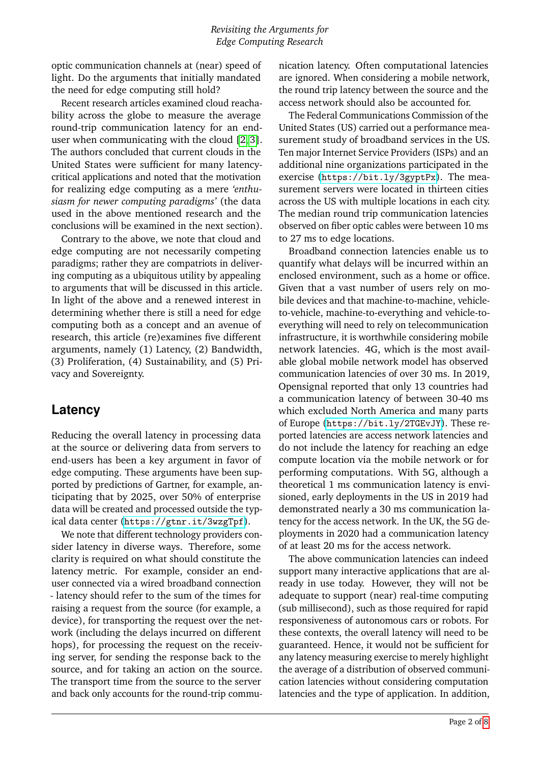optic communication channels at (near) speed of light. Do the arguments that initially mandated the need for edge computing still hold?

Recent research articles examined cloud reachability across the globe to measure the average round-trip communication latency for an enduser when communicating with the cloud [\[2,](#page-6-1) [3\]](#page-6-2). The authors concluded that current clouds in the United States were sufficient for many latencycritical applications and noted that the motivation for realizing edge computing as a mere *'enthusiasm for newer computing paradigms'* (the data used in the above mentioned research and the conclusions will be examined in the next section).

Contrary to the above, we note that cloud and edge computing are not necessarily competing paradigms; rather they are compatriots in delivering computing as a ubiquitous utility by appealing to arguments that will be discussed in this article. In light of the above and a renewed interest in determining whether there is still a need for edge computing both as a concept and an avenue of research, this article (re)examines five different arguments, namely (1) Latency, (2) Bandwidth, (3) Proliferation, (4) Sustainability, and (5) Privacy and Sovereignty.

#### **Latency**

Reducing the overall latency in processing data at the source or delivering data from servers to end-users has been a key argument in favor of edge computing. These arguments have been supported by predictions of Gartner, for example, anticipating that by 2025, over 50% of enterprise data will be created and processed outside the typical data center (<https://gtnr.it/3wzgTpf>).

We note that different technology providers consider latency in diverse ways. Therefore, some clarity is required on what should constitute the latency metric. For example, consider an enduser connected via a wired broadband connection - latency should refer to the sum of the times for raising a request from the source (for example, a device), for transporting the request over the network (including the delays incurred on different hops), for processing the request on the receiving server, for sending the response back to the source, and for taking an action on the source. The transport time from the source to the server and back only accounts for the round-trip communication latency. Often computational latencies are ignored. When considering a mobile network, the round trip latency between the source and the access network should also be accounted for.

The Federal Communications Commission of the United States (US) carried out a performance measurement study of broadband services in the US. Ten major Internet Service Providers (ISPs) and an additional nine organizations participated in the exercise (<https://bit.ly/3gyptPx>). The measurement servers were located in thirteen cities across the US with multiple locations in each city. The median round trip communication latencies observed on fiber optic cables were between 10 ms to 27 ms to edge locations.

Broadband connection latencies enable us to quantify what delays will be incurred within an enclosed environment, such as a home or office. Given that a vast number of users rely on mobile devices and that machine-to-machine, vehicleto-vehicle, machine-to-everything and vehicle-toeverything will need to rely on telecommunication infrastructure, it is worthwhile considering mobile network latencies. 4G, which is the most available global mobile network model has observed communication latencies of over 30 ms. In 2019, Opensignal reported that only 13 countries had a communication latency of between 30-40 ms which excluded North America and many parts of Europe (<https://bit.ly/2TGEvJY>). These reported latencies are access network latencies and do not include the latency for reaching an edge compute location via the mobile network or for performing computations. With 5G, although a theoretical 1 ms communication latency is envisioned, early deployments in the US in 2019 had demonstrated nearly a 30 ms communication latency for the access network. In the UK, the 5G deployments in 2020 had a communication latency of at least 20 ms for the access network.

The above communication latencies can indeed support many interactive applications that are already in use today. However, they will not be adequate to support (near) real-time computing (sub millisecond), such as those required for rapid responsiveness of autonomous cars or robots. For these contexts, the overall latency will need to be guaranteed. Hence, it would not be sufficient for any latency measuring exercise to merely highlight the average of a distribution of observed communication latencies without considering computation latencies and the type of application. In addition,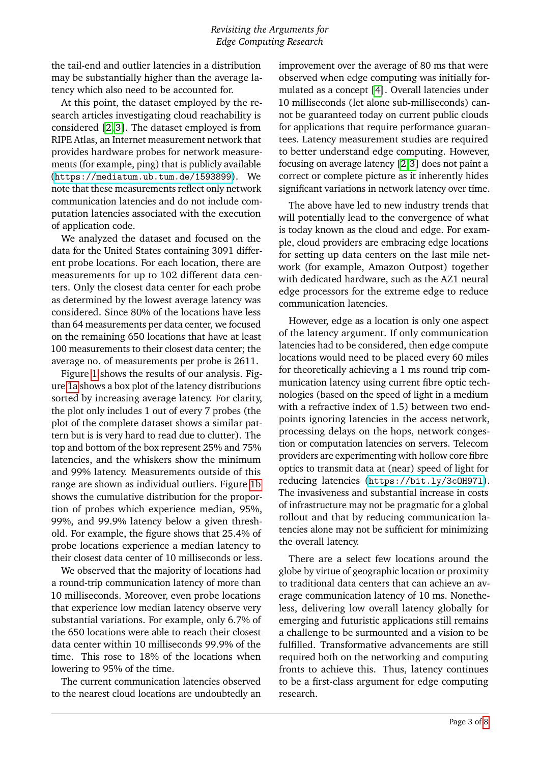the tail-end and outlier latencies in a distribution may be substantially higher than the average latency which also need to be accounted for.

At this point, the dataset employed by the research articles investigating cloud reachability is considered [\[2,](#page-6-1) [3\]](#page-6-2). The dataset employed is from RIPE Atlas, an Internet measurement network that provides hardware probes for network measurements (for example, ping) that is publicly available (<https://mediatum.ub.tum.de/1593899>). We note that these measurements reflect only network communication latencies and do not include computation latencies associated with the execution of application code.

We analyzed the dataset and focused on the data for the United States containing 3091 different probe locations. For each location, there are measurements for up to 102 different data centers. Only the closest data center for each probe as determined by the lowest average latency was considered. Since 80% of the locations have less than 64 measurements per data center, we focused on the remaining 650 locations that have at least 100 measurements to their closest data center; the average no. of measurements per probe is 2611.

Figure [1](#page-3-0) shows the results of our analysis. Figure [1a](#page-3-1) shows a box plot of the latency distributions sorted by increasing average latency. For clarity, the plot only includes 1 out of every 7 probes (the plot of the complete dataset shows a similar pattern but is is very hard to read due to clutter). The top and bottom of the box represent 25% and 75% latencies, and the whiskers show the minimum and 99% latency. Measurements outside of this range are shown as individual outliers. Figure [1b](#page-3-2) shows the cumulative distribution for the proportion of probes which experience median, 95%, 99%, and 99.9% latency below a given threshold. For example, the figure shows that 25.4% of probe locations experience a median latency to their closest data center of 10 milliseconds or less.

We observed that the majority of locations had a round-trip communication latency of more than 10 milliseconds. Moreover, even probe locations that experience low median latency observe very substantial variations. For example, only 6.7% of the 650 locations were able to reach their closest data center within 10 milliseconds 99.9% of the time. This rose to 18% of the locations when lowering to 95% of the time.

The current communication latencies observed to the nearest cloud locations are undoubtedly an

improvement over the average of 80 ms that were observed when edge computing was initially formulated as a concept [\[4\]](#page-6-3). Overall latencies under 10 milliseconds (let alone sub-milliseconds) cannot be guaranteed today on current public clouds for applications that require performance guarantees. Latency measurement studies are required to better understand edge computing. However, focusing on average latency [\[2,](#page-6-1)[3\]](#page-6-2) does not paint a correct or complete picture as it inherently hides significant variations in network latency over time.

The above have led to new industry trends that will potentially lead to the convergence of what is today known as the cloud and edge. For example, cloud providers are embracing edge locations for setting up data centers on the last mile network (for example, Amazon Outpost) together with dedicated hardware, such as the AZ1 neural edge processors for the extreme edge to reduce communication latencies.

However, edge as a location is only one aspect of the latency argument. If only communication latencies had to be considered, then edge compute locations would need to be placed every 60 miles for theoretically achieving a 1 ms round trip communication latency using current fibre optic technologies (based on the speed of light in a medium with a refractive index of 1.5) between two endpoints ignoring latencies in the access network, processing delays on the hops, network congestion or computation latencies on servers. Telecom providers are experimenting with hollow core fibre optics to transmit data at (near) speed of light for reducing latencies (<https://bit.ly/3cOH97l>). The invasiveness and substantial increase in costs of infrastructure may not be pragmatic for a global rollout and that by reducing communication latencies alone may not be sufficient for minimizing the overall latency.

There are a select few locations around the globe by virtue of geographic location or proximity to traditional data centers that can achieve an average communication latency of 10 ms. Nonetheless, delivering low overall latency globally for emerging and futuristic applications still remains a challenge to be surmounted and a vision to be fulfilled. Transformative advancements are still required both on the networking and computing fronts to achieve this. Thus, latency continues to be a first-class argument for edge computing research.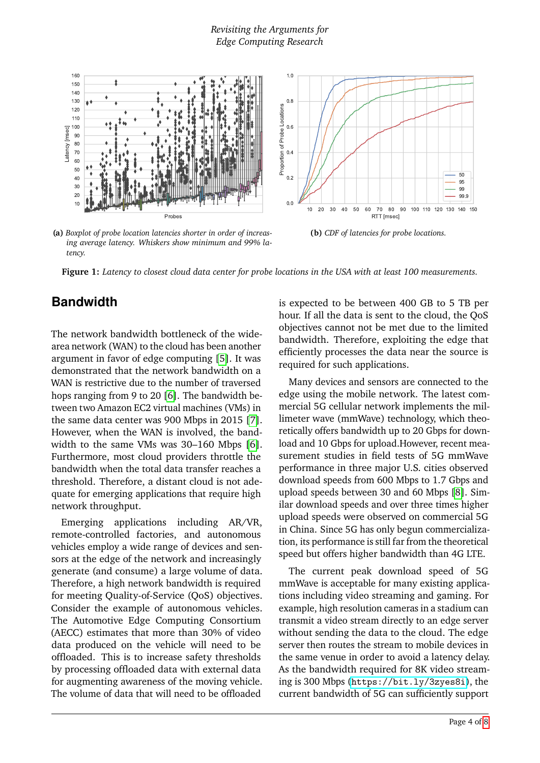#### *Revisiting the Arguments for Edge Computing Research*

<span id="page-3-1"></span><span id="page-3-0"></span>

**(a)** *Boxplot of probe location latencies shorter in order of increasing average latency. Whiskers show minimum and 99% latency.*

<span id="page-3-2"></span>**(b)** *CDF of latencies for probe locations.*

**Figure 1:** *Latency to closest cloud data center for probe locations in the USA with at least 100 measurements.*

#### **Bandwidth**

The network bandwidth bottleneck of the widearea network (WAN) to the cloud has been another argument in favor of edge computing [\[5\]](#page-6-4). It was demonstrated that the network bandwidth on a WAN is restrictive due to the number of traversed hops ranging from 9 to 20 [\[6\]](#page-6-5). The bandwidth between two Amazon EC2 virtual machines (VMs) in the same data center was 900 Mbps in 2015 [\[7\]](#page-6-6). However, when the WAN is involved, the bandwidth to the same VMs was 30–160 Mbps [\[6\]](#page-6-5). Furthermore, most cloud providers throttle the bandwidth when the total data transfer reaches a threshold. Therefore, a distant cloud is not adequate for emerging applications that require high network throughput.

Emerging applications including AR/VR, remote-controlled factories, and autonomous vehicles employ a wide range of devices and sensors at the edge of the network and increasingly generate (and consume) a large volume of data. Therefore, a high network bandwidth is required for meeting Quality-of-Service (QoS) objectives. Consider the example of autonomous vehicles. The Automotive Edge Computing Consortium (AECC) estimates that more than 30% of video data produced on the vehicle will need to be offloaded. This is to increase safety thresholds by processing offloaded data with external data for augmenting awareness of the moving vehicle. The volume of data that will need to be offloaded

is expected to be between 400 GB to 5 TB per hour. If all the data is sent to the cloud, the QoS objectives cannot not be met due to the limited bandwidth. Therefore, exploiting the edge that efficiently processes the data near the source is required for such applications.

Many devices and sensors are connected to the edge using the mobile network. The latest commercial 5G cellular network implements the millimeter wave (mmWave) technology, which theoretically offers bandwidth up to 20 Gbps for download and 10 Gbps for upload.However, recent measurement studies in field tests of 5G mmWave performance in three major U.S. cities observed download speeds from 600 Mbps to 1.7 Gbps and upload speeds between 30 and 60 Mbps [\[8\]](#page-6-7). Similar download speeds and over three times higher upload speeds were observed on commercial 5G in China. Since 5G has only begun commercialization, its performance is still far from the theoretical speed but offers higher bandwidth than 4G LTE.

The current peak download speed of 5G mmWave is acceptable for many existing applications including video streaming and gaming. For example, high resolution cameras in a stadium can transmit a video stream directly to an edge server without sending the data to the cloud. The edge server then routes the stream to mobile devices in the same venue in order to avoid a latency delay. As the bandwidth required for 8K video streaming is 300 Mbps (<https://bit.ly/3zyes8i>), the current bandwidth of 5G can sufficiently support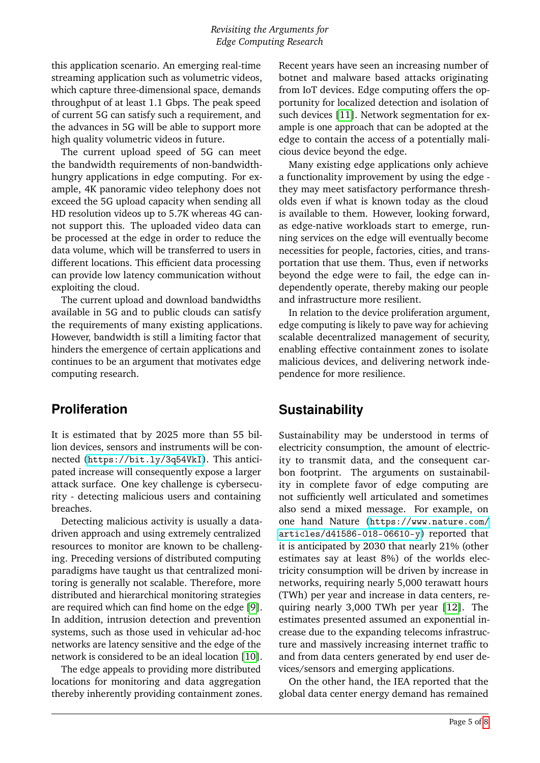this application scenario. An emerging real-time streaming application such as volumetric videos, which capture three-dimensional space, demands throughput of at least 1.1 Gbps. The peak speed of current 5G can satisfy such a requirement, and the advances in 5G will be able to support more high quality volumetric videos in future.

The current upload speed of 5G can meet the bandwidth requirements of non-bandwidthhungry applications in edge computing. For example, 4K panoramic video telephony does not exceed the 5G upload capacity when sending all HD resolution videos up to 5.7K whereas 4G cannot support this. The uploaded video data can be processed at the edge in order to reduce the data volume, which will be transferred to users in different locations. This efficient data processing can provide low latency communication without exploiting the cloud.

The current upload and download bandwidths available in 5G and to public clouds can satisfy the requirements of many existing applications. However, bandwidth is still a limiting factor that hinders the emergence of certain applications and continues to be an argument that motivates edge computing research.

#### **Proliferation**

It is estimated that by 2025 more than 55 billion devices, sensors and instruments will be connected (<https://bit.ly/3q54VkI>). This anticipated increase will consequently expose a larger attack surface. One key challenge is cybersecurity - detecting malicious users and containing breaches.

Detecting malicious activity is usually a datadriven approach and using extremely centralized resources to monitor are known to be challenging. Preceding versions of distributed computing paradigms have taught us that centralized monitoring is generally not scalable. Therefore, more distributed and hierarchical monitoring strategies are required which can find home on the edge [\[9\]](#page-6-8). In addition, intrusion detection and prevention systems, such as those used in vehicular ad-hoc networks are latency sensitive and the edge of the network is considered to be an ideal location [\[10\]](#page-6-9).

The edge appeals to providing more distributed locations for monitoring and data aggregation thereby inherently providing containment zones. Recent years have seen an increasing number of botnet and malware based attacks originating from IoT devices. Edge computing offers the opportunity for localized detection and isolation of such devices [\[11\]](#page-6-10). Network segmentation for example is one approach that can be adopted at the edge to contain the access of a potentially malicious device beyond the edge.

Many existing edge applications only achieve a functionality improvement by using the edge they may meet satisfactory performance thresholds even if what is known today as the cloud is available to them. However, looking forward, as edge-native workloads start to emerge, running services on the edge will eventually become necessities for people, factories, cities, and transportation that use them. Thus, even if networks beyond the edge were to fail, the edge can independently operate, thereby making our people and infrastructure more resilient.

In relation to the device proliferation argument, edge computing is likely to pave way for achieving scalable decentralized management of security, enabling effective containment zones to isolate malicious devices, and delivering network independence for more resilience.

#### **Sustainability**

Sustainability may be understood in terms of electricity consumption, the amount of electricity to transmit data, and the consequent carbon footprint. The arguments on sustainability in complete favor of edge computing are not sufficiently well articulated and sometimes also send a mixed message. For example, on one hand Nature ([https://www.nature.com/](https://www.nature.com/articles/d41586-018-06610-y) [articles/d41586-018-06610-y](https://www.nature.com/articles/d41586-018-06610-y)) reported that it is anticipated by 2030 that nearly 21% (other estimates say at least 8%) of the worlds electricity consumption will be driven by increase in networks, requiring nearly 5,000 terawatt hours (TWh) per year and increase in data centers, requiring nearly 3,000 TWh per year [\[12\]](#page-6-11). The estimates presented assumed an exponential increase due to the expanding telecoms infrastructure and massively increasing internet traffic to and from data centers generated by end user devices/sensors and emerging applications.

On the other hand, the IEA reported that the global data center energy demand has remained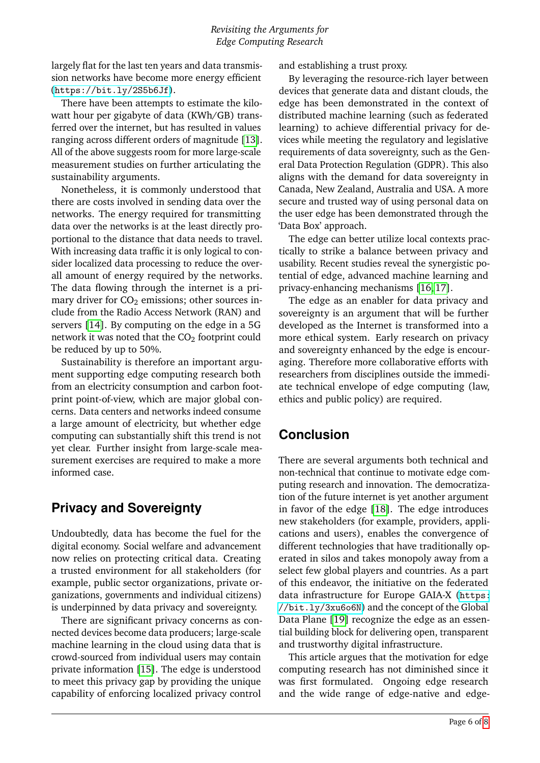largely flat for the last ten years and data transmission networks have become more energy efficient (<https://bit.ly/2S5b6Jf>).

There have been attempts to estimate the kilowatt hour per gigabyte of data (KWh/GB) transferred over the internet, but has resulted in values ranging across different orders of magnitude [\[13\]](#page-6-12). All of the above suggests room for more large-scale measurement studies on further articulating the sustainability arguments.

Nonetheless, it is commonly understood that there are costs involved in sending data over the networks. The energy required for transmitting data over the networks is at the least directly proportional to the distance that data needs to travel. With increasing data traffic it is only logical to consider localized data processing to reduce the overall amount of energy required by the networks. The data flowing through the internet is a primary driver for  $CO<sub>2</sub>$  emissions; other sources include from the Radio Access Network (RAN) and servers [\[14\]](#page-6-13). By computing on the edge in a 5G network it was noted that the  $CO<sub>2</sub>$  footprint could be reduced by up to 50%.

Sustainability is therefore an important argument supporting edge computing research both from an electricity consumption and carbon footprint point-of-view, which are major global concerns. Data centers and networks indeed consume a large amount of electricity, but whether edge computing can substantially shift this trend is not yet clear. Further insight from large-scale measurement exercises are required to make a more informed case.

#### **Privacy and Sovereignty**

Undoubtedly, data has become the fuel for the digital economy. Social welfare and advancement now relies on protecting critical data. Creating a trusted environment for all stakeholders (for example, public sector organizations, private organizations, governments and individual citizens) is underpinned by data privacy and sovereignty.

There are significant privacy concerns as connected devices become data producers; large-scale machine learning in the cloud using data that is crowd-sourced from individual users may contain private information [\[15\]](#page-7-1). The edge is understood to meet this privacy gap by providing the unique capability of enforcing localized privacy control

and establishing a trust proxy.

By leveraging the resource-rich layer between devices that generate data and distant clouds, the edge has been demonstrated in the context of distributed machine learning (such as federated learning) to achieve differential privacy for devices while meeting the regulatory and legislative requirements of data sovereignty, such as the General Data Protection Regulation (GDPR). This also aligns with the demand for data sovereignty in Canada, New Zealand, Australia and USA. A more secure and trusted way of using personal data on the user edge has been demonstrated through the 'Data Box' approach.

The edge can better utilize local contexts practically to strike a balance between privacy and usability. Recent studies reveal the synergistic potential of edge, advanced machine learning and privacy-enhancing mechanisms [\[16,](#page-7-2) [17\]](#page-7-3).

The edge as an enabler for data privacy and sovereignty is an argument that will be further developed as the Internet is transformed into a more ethical system. Early research on privacy and sovereignty enhanced by the edge is encouraging. Therefore more collaborative efforts with researchers from disciplines outside the immediate technical envelope of edge computing (law, ethics and public policy) are required.

## **Conclusion**

There are several arguments both technical and non-technical that continue to motivate edge computing research and innovation. The democratization of the future internet is yet another argument in favor of the edge [\[18\]](#page-7-4). The edge introduces new stakeholders (for example, providers, applications and users), enables the convergence of different technologies that have traditionally operated in silos and takes monopoly away from a select few global players and countries. As a part of this endeavor, the initiative on the federated data infrastructure for Europe GAIA-X ([https:](https://bit.ly/3xu6o6N) [//bit.ly/3xu6o6N](https://bit.ly/3xu6o6N)) and the concept of the Global Data Plane [\[19\]](#page-7-5) recognize the edge as an essential building block for delivering open, transparent and trustworthy digital infrastructure.

This article argues that the motivation for edge computing research has not diminished since it was first formulated. Ongoing edge research and the wide range of edge-native and edge-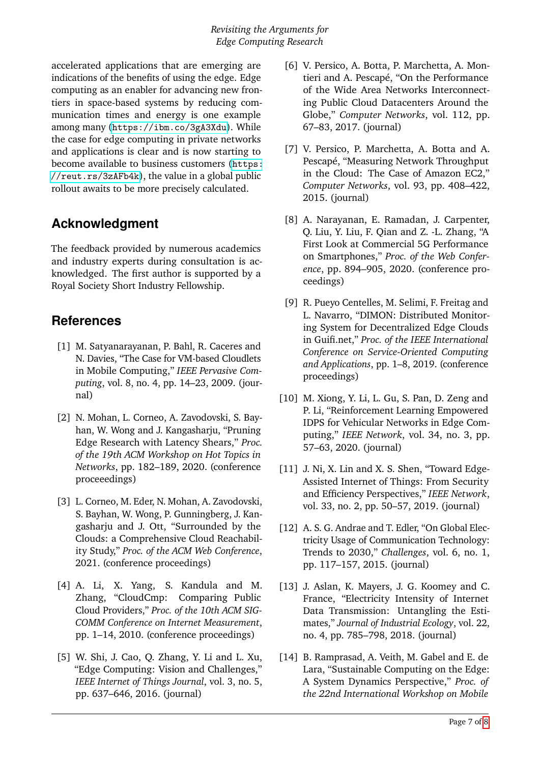accelerated applications that are emerging are indications of the benefits of using the edge. Edge computing as an enabler for advancing new frontiers in space-based systems by reducing communication times and energy is one example among many (<https://ibm.co/3gA3Xdu>). While the case for edge computing in private networks and applications is clear and is now starting to become available to business customers ([https:](https://reut.rs/3zAFb4k) [//reut.rs/3zAFb4k](https://reut.rs/3zAFb4k)), the value in a global public rollout awaits to be more precisely calculated.

## **Acknowledgment**

The feedback provided by numerous academics and industry experts during consultation is acknowledged. The first author is supported by a Royal Society Short Industry Fellowship.

#### **References**

- <span id="page-6-0"></span>[1] M. Satyanarayanan, P. Bahl, R. Caceres and N. Davies, "The Case for VM-based Cloudlets in Mobile Computing," *IEEE Pervasive Computing*, vol. 8, no. 4, pp. 14–23, 2009. (journal)
- <span id="page-6-1"></span>[2] N. Mohan, L. Corneo, A. Zavodovski, S. Bayhan, W. Wong and J. Kangasharju, "Pruning Edge Research with Latency Shears," *Proc. of the 19th ACM Workshop on Hot Topics in Networks*, pp. 182–189, 2020. (conference proceeedings)
- <span id="page-6-2"></span>[3] L. Corneo, M. Eder, N. Mohan, A. Zavodovski, S. Bayhan, W. Wong, P. Gunningberg, J. Kangasharju and J. Ott, "Surrounded by the Clouds: a Comprehensive Cloud Reachability Study," *Proc. of the ACM Web Conference*, 2021. (conference proceedings)
- <span id="page-6-3"></span>[4] A. Li, X. Yang, S. Kandula and M. Zhang, "CloudCmp: Comparing Public Cloud Providers," *Proc. of the 10th ACM SIG-COMM Conference on Internet Measurement*, pp. 1–14, 2010. (conference proceedings)
- <span id="page-6-4"></span>[5] W. Shi, J. Cao, Q. Zhang, Y. Li and L. Xu, "Edge Computing: Vision and Challenges," *IEEE Internet of Things Journal*, vol. 3, no. 5, pp. 637–646, 2016. (journal)
- <span id="page-6-5"></span>[6] V. Persico, A. Botta, P. Marchetta, A. Montieri and A. Pescapé, "On the Performance of the Wide Area Networks Interconnecting Public Cloud Datacenters Around the Globe," *Computer Networks*, vol. 112, pp. 67–83, 2017. (journal)
- <span id="page-6-6"></span>[7] V. Persico, P. Marchetta, A. Botta and A. Pescapé, "Measuring Network Throughput in the Cloud: The Case of Amazon EC2," *Computer Networks*, vol. 93, pp. 408–422, 2015. (journal)
- <span id="page-6-7"></span>[8] A. Narayanan, E. Ramadan, J. Carpenter, Q. Liu, Y. Liu, F. Qian and Z. -L. Zhang, "A First Look at Commercial 5G Performance on Smartphones," *Proc. of the Web Conference*, pp. 894–905, 2020. (conference proceedings)
- <span id="page-6-8"></span>[9] R. Pueyo Centelles, M. Selimi, F. Freitag and L. Navarro, "DIMON: Distributed Monitoring System for Decentralized Edge Clouds in Guifi.net," *Proc. of the IEEE International Conference on Service-Oriented Computing and Applications*, pp. 1–8, 2019. (conference proceedings)
- <span id="page-6-9"></span>[10] M. Xiong, Y. Li, L. Gu, S. Pan, D. Zeng and P. Li, "Reinforcement Learning Empowered IDPS for Vehicular Networks in Edge Computing," *IEEE Network*, vol. 34, no. 3, pp. 57–63, 2020. (journal)
- <span id="page-6-10"></span>[11] J. Ni, X. Lin and X. S. Shen, "Toward Edge-Assisted Internet of Things: From Security and Efficiency Perspectives," *IEEE Network*, vol. 33, no. 2, pp. 50–57, 2019. (journal)
- <span id="page-6-11"></span>[12] A. S. G. Andrae and T. Edler, "On Global Electricity Usage of Communication Technology: Trends to 2030," *Challenges*, vol. 6, no. 1, pp. 117–157, 2015. (journal)
- <span id="page-6-12"></span>[13] J. Aslan, K. Mayers, J. G. Koomey and C. France, "Electricity Intensity of Internet Data Transmission: Untangling the Estimates," *Journal of Industrial Ecology*, vol. 22, no. 4, pp. 785–798, 2018. (journal)
- <span id="page-6-13"></span>[14] B. Ramprasad, A. Veith, M. Gabel and E. de Lara, "Sustainable Computing on the Edge: A System Dynamics Perspective," *Proc. of the 22nd International Workshop on Mobile*